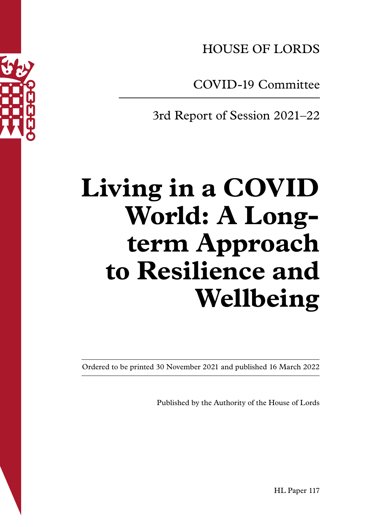

COVID-19 Committee

3rd Report of Session 2021–22

# **Living in a COVID World: A Longterm Approach to Resilience and Wellbeing**

Ordered to be printed 30 November 2021 and published 16 March 2022

Published by the Authority of the House of Lords

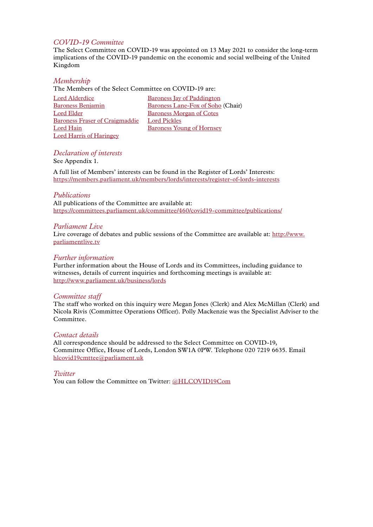#### *COVID-19 Committee*

The Select Committee on COVID-19 was appointed on 13 May 2021 to consider the long-term implications of the COVID-19 pandemic on the economic and social wellbeing of the United Kingdom

#### *Membership*

The Members of the Select Committee on COVID-19 are:

| Lord Alderdice                        | <b>Baroness Jay of Paddington</b> |
|---------------------------------------|-----------------------------------|
| <b>Baroness Benjamin</b>              | Baroness Lane-Fox of Soho (Chair) |
| Lord Elder                            | Baroness Morgan of Cotes          |
| <b>Baroness Fraser of Craigmaddie</b> | <b>Lord Pickles</b>               |
| Lord Hain                             | Baroness Young of Hornsey         |
| <b>Lord Harris of Haringey</b>        |                                   |

#### *Declaration of interests*

See Appendix 1.

A full list of Members' interests can be found in the Register of Lords' Interests: <https://members.parliament.uk/members/lords/interests/register-of-lords-interests>

#### *Publications*

All publications of the Committee are available at: <https://committees.parliament.uk/committee/460/covid19-committee/publications/>

#### *Parliament Live*

Live coverage of debates and public sessions of the Committee are available at: [http://www.](http://www.parliamentlive.tv) [parliamentlive.tv](http://www.parliamentlive.tv)

#### *Further information*

Further information about the House of Lords and its Committees, including guidance to witnesses, details of current inquiries and forthcoming meetings is available at: <http://www.parliament.uk/business/lords>

#### *Committee staff*

The staff who worked on this inquiry were Megan Jones (Clerk) and Alex McMillan (Clerk) and Nicola Rivis (Committee Operations Officer). Polly Mackenzie was the Specialist Adviser to the Committee.

#### *Contact details*

All correspondence should be addressed to the Select Committee on COVID-19, Committee Office, House of Lords, London SW1A 0PW. Telephone 020 7219 6635. Email hlcovid19cmttee@parliament.uk

#### *Twitter*

You can follow the Committee on Twitter: [@HLCOVID19Com](http://www.twitter.com/handle)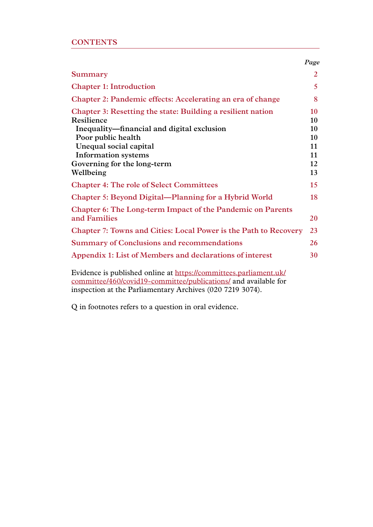|                                                                                                                                                                                                                                      | Page                                   |
|--------------------------------------------------------------------------------------------------------------------------------------------------------------------------------------------------------------------------------------|----------------------------------------|
| Summary                                                                                                                                                                                                                              | 2                                      |
| <b>Chapter 1: Introduction</b>                                                                                                                                                                                                       | 5 <sup>5</sup>                         |
| Chapter 2: Pandemic effects: Accelerating an era of change                                                                                                                                                                           | 8                                      |
| Chapter 3: Resetting the state: Building a resilient nation<br>Resilience<br>Inequality—financial and digital exclusion<br>Poor public health<br>Unequal social capital<br><b>Information systems</b><br>Governing for the long-term | 10<br>10<br>10<br>10<br>11<br>11<br>12 |
| Wellbeing                                                                                                                                                                                                                            | 13                                     |
| <b>Chapter 4: The role of Select Committees</b>                                                                                                                                                                                      | 15                                     |
| <b>Chapter 5: Beyond Digital—Planning for a Hybrid World</b>                                                                                                                                                                         | 18                                     |
| <b>Chapter 6: The Long-term Impact of the Pandemic on Parents</b><br>and Families                                                                                                                                                    | 20                                     |
| <b>Chapter 7: Towns and Cities: Local Power is the Path to Recovery</b>                                                                                                                                                              | 23                                     |
| <b>Summary of Conclusions and recommendations</b>                                                                                                                                                                                    | 26                                     |
| Appendix 1: List of Members and declarations of interest                                                                                                                                                                             | 30                                     |
| Evidence is published online at https://committees.parliament.uk/<br>committee/460/covid19-committee/publications/ and available for<br>inspection at the Parliamentary Archives (020 7219 3074).                                    |                                        |

Q in footnotes refers to a question in oral evidence.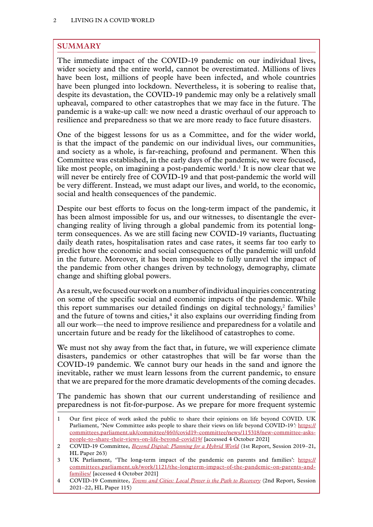# <span id="page-3-0"></span>**SUMMARY**

The immediate impact of the COVID-19 pandemic on our individual lives, wider society and the entire world, cannot be overestimated. Millions of lives have been lost, millions of people have been infected, and whole countries have been plunged into lockdown. Nevertheless, it is sobering to realise that, despite its devastation, the COVID-19 pandemic may only be a relatively small upheaval, compared to other catastrophes that we may face in the future. The pandemic is a wake-up call: we now need a drastic overhaul of our approach to resilience and preparedness so that we are more ready to face future disasters.

One of the biggest lessons for us as a Committee, and for the wider world, is that the impact of the pandemic on our individual lives, our communities, and society as a whole, is far-reaching, profound and permanent. When this Committee was established, in the early days of the pandemic, we were focused, like most people, on imagining a post-pandemic world.<sup>1</sup> It is now clear that we will never be entirely free of COVID-19 and that post-pandemic the world will be very different. Instead, we must adapt our lives, and world, to the economic, social and health consequences of the pandemic.

Despite our best efforts to focus on the long-term impact of the pandemic, it has been almost impossible for us, and our witnesses, to disentangle the everchanging reality of living through a global pandemic from its potential longterm consequences. As we are still facing new COVID-19 variants, fluctuating daily death rates, hospitalisation rates and case rates, it seems far too early to predict how the economic and social consequences of the pandemic will unfold in the future. Moreover, it has been impossible to fully unravel the impact of the pandemic from other changes driven by technology, demography, climate change and shifting global powers.

As a result, we focused our work on a number of individual inquiries concentrating on some of the specific social and economic impacts of the pandemic. While this report summarises our detailed findings on digital technology, $^2$  families<sup>3</sup> and the future of towns and cities, $4$  it also explains our overriding finding from all our work—the need to improve resilience and preparedness for a volatile and uncertain future and be ready for the likelihood of catastrophes to come.

We must not shy away from the fact that, in future, we will experience climate disasters, pandemics or other catastrophes that will be far worse than the COVID-19 pandemic. We cannot bury our heads in the sand and ignore the inevitable, rather we must learn lessons from the current pandemic, to ensure that we are prepared for the more dramatic developments of the coming decades.

The pandemic has shown that our current understanding of resilience and preparedness is not fit-for-purpose. As we prepare for more frequent systemic

<sup>1</sup> Our first piece of work asked the public to share their opinions on life beyond COVID. UK Parliament, 'New Committee asks people to share their views on life beyond COVID-19*':* [https://](https://committees.parliament.uk/committee/460/covid19-committee/news/115318/new-committee-asks-people-to-share-their-views-on-life-beyond-covid19/) [committees.parliament.uk/committee/460/covid19-committee/news/115318/new-committee-asks](https://committees.parliament.uk/committee/460/covid19-committee/news/115318/new-committee-asks-people-to-share-their-views-on-life-beyond-covid19/)[people-to-share-their-views-on-life-beyond-covid19/](https://committees.parliament.uk/committee/460/covid19-committee/news/115318/new-committee-asks-people-to-share-their-views-on-life-beyond-covid19/) [accessed 4 October 2021]

<sup>2</sup> COVID-19 Committee, *[Beyond Digital: Planning for a Hybrid World](https://publications.parliament.uk/pa/ld5801/ldselect/ldcvd19/263/26302.htm)* (1st Report, Session 2019–21, HL Paper 263)

<sup>3</sup> UK Parliament, 'The long-term impact of the pandemic on parents and families': [https://](https://committees.parliament.uk/work/1121/the-longterm-impact-of-the-pandemic-on-parents-and-families/) [committees.parliament.uk/work/1121/the-longterm-impact-of-the-pandemic-on-parents-and](https://committees.parliament.uk/work/1121/the-longterm-impact-of-the-pandemic-on-parents-and-families/)[families/](https://committees.parliament.uk/work/1121/the-longterm-impact-of-the-pandemic-on-parents-and-families/) [accessed 4 October 2021]

<sup>4</sup> COVID-19 Committee, *[Towns and Cities: Local Power is the Path to Recovery](https://publications.parliament.uk/pa/ld5802/ldselect/ldcvd19/115/11502.htm)* (2nd Report, Session 2021–22, HL Paper 115)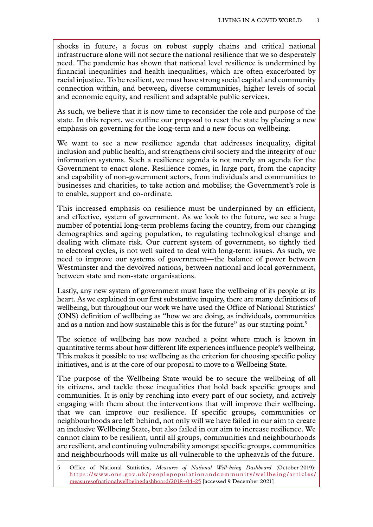shocks in future, a focus on robust supply chains and critical national infrastructure alone will not secure the national resilience that we so desperately need. The pandemic has shown that national level resilience is undermined by financial inequalities and health inequalities, which are often exacerbated by racial injustice. To be resilient, we must have strong social capital and community connection within, and between, diverse communities, higher levels of social and economic equity, and resilient and adaptable public services.

As such, we believe that it is now time to reconsider the role and purpose of the state. In this report, we outline our proposal to reset the state by placing a new emphasis on governing for the long-term and a new focus on wellbeing.

We want to see a new resilience agenda that addresses inequality, digital inclusion and public health, and strengthens civil society and the integrity of our information systems. Such a resilience agenda is not merely an agenda for the Government to enact alone. Resilience comes, in large part, from the capacity and capability of non-government actors, from individuals and communities to businesses and charities, to take action and mobilise; the Government's role is to enable, support and co-ordinate.

This increased emphasis on resilience must be underpinned by an efficient, and effective, system of government. As we look to the future, we see a huge number of potential long-term problems facing the country, from our changing demographics and ageing population, to regulating technological change and dealing with climate risk. Our current system of government, so tightly tied to electoral cycles, is not well suited to deal with long-term issues. As such, we need to improve our systems of government—the balance of power between Westminster and the devolved nations, between national and local government, between state and non-state organisations.

Lastly, any new system of government must have the wellbeing of its people at its heart. As we explained in our first substantive inquiry, there are many definitions of wellbeing, but throughout our work we have used the Office of National Statistics' (ONS) definition of wellbeing as "how we are doing, as individuals, communities and as a nation and how sustainable this is for the future" as our starting point.<sup>5</sup>

The science of wellbeing has now reached a point where much is known in quantitative terms about how different life experiences influence people's wellbeing. This makes it possible to use wellbeing as the criterion for choosing specific policy initiatives, and is at the core of our proposal to move to a Wellbeing State.

The purpose of the Wellbeing State would be to secure the wellbeing of all its citizens, and tackle those inequalities that hold back specific groups and communities. It is only by reaching into every part of our society, and actively engaging with them about the interventions that will improve their wellbeing, that we can improve our resilience. If specific groups, communities or neighbourhoods are left behind, not only will we have failed in our aim to create an inclusive Wellbeing State, but also failed in our aim to increase resilience. We cannot claim to be resilient, until all groups, communities and neighbourhoods are resilient, and continuing vulnerability amongst specific groups, communities and neighbourhoods will make us all vulnerable to the upheavals of the future.

<sup>5</sup> Office of National Statistics, *Measures of National Well-being Dashboard* (October 2019): [https://www.ons.gov.uk/peoplepopulationandcommunity/wellbeing/articles/](https://www.ons.gov.uk/peoplepopulationandcommunity/wellbeing/articles/measuresofnationalwellbeingdashboard/2018-04-25) [measuresofnationalwellbeingdashboard/2018–04-25](https://www.ons.gov.uk/peoplepopulationandcommunity/wellbeing/articles/measuresofnationalwellbeingdashboard/2018-04-25) [accessed 9 December 2021]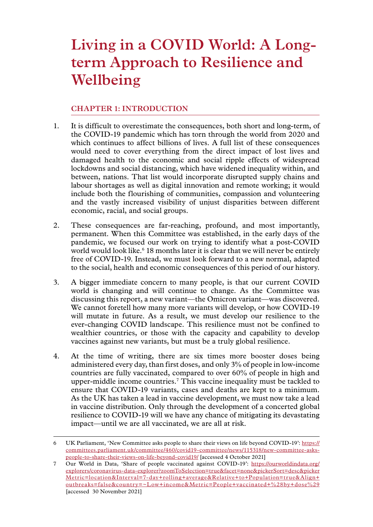# <span id="page-6-0"></span>**Living in a COVID World: A Longterm Approach to Resilience and Wellbeing**

### **Chapter 1: INTRODUCTION**

- 1. It is difficult to overestimate the consequences, both short and long-term, of the COVID-19 pandemic which has torn through the world from 2020 and which continues to affect billions of lives. A full list of these consequences would need to cover everything from the direct impact of lost lives and damaged health to the economic and social ripple effects of widespread lockdowns and social distancing, which have widened inequality within, and between, nations. That list would incorporate disrupted supply chains and labour shortages as well as digital innovation and remote working; it would include both the flourishing of communities, compassion and volunteering and the vastly increased visibility of unjust disparities between different economic, racial, and social groups.
- 2. These consequences are far-reaching, profound, and most importantly, permanent. When this Committee was established, in the early days of the pandemic, we focused our work on trying to identify what a post-COVID world would look like.6 18 months later it is clear that we will never be entirely free of COVID-19. Instead, we must look forward to a new normal, adapted to the social, health and economic consequences of this period of our history.
- 3. A bigger immediate concern to many people, is that our current COVID world is changing and will continue to change. As the Committee was discussing this report, a new variant—the Omicron variant—was discovered. We cannot foretell how many more variants will develop, or how COVID-19 will mutate in future. As a result, we must develop our resilience to the ever-changing COVID landscape. This resilience must not be confined to wealthier countries, or those with the capacity and capability to develop vaccines against new variants, but must be a truly global resilience.
- 4. At the time of writing, there are six times more booster doses being administered every day, than first doses, and only 3% of people in low-income countries are fully vaccinated, compared to over 60% of people in high and upper-middle income countries.7 This vaccine inequality must be tackled to ensure that COVID-19 variants, cases and deaths are kept to a minimum. As the UK has taken a lead in vaccine development, we must now take a lead in vaccine distribution. Only through the development of a concerted global resilience to COVID-19 will we have any chance of mitigating its devastating impact—until we are all vaccinated, we are all at risk.

<sup>6</sup> UK Parliament, 'New Committee asks people to share their views on life beyond COVID-19': [https://](https://committees.parliament.uk/committee/460/covid19-committee/news/115318/new-committee-asks-people-to-share-their-views-on-life-beyond-covid19/) [committees.parliament.uk/committee/460/covid19-committee/news/115318/new-committee-asks](https://committees.parliament.uk/committee/460/covid19-committee/news/115318/new-committee-asks-people-to-share-their-views-on-life-beyond-covid19/)[people-to-share-their-views-on-life-beyond-covid19/](https://committees.parliament.uk/committee/460/covid19-committee/news/115318/new-committee-asks-people-to-share-their-views-on-life-beyond-covid19/) [accessed 4 October 2021]

<sup>7</sup> Our World in Data, 'Share of people vaccinated against COVID-19': [https://ourworldindata.org/](https://ourworldindata.org/explorers/coronavirus-data-explorer?zoomToSelection=true&facet=none&pickerSort=desc&pickerMetric=location&Interval=7-day+rolling+average&Relative+to+Population=true&Align+outbreaks=false&country=~Low+income&Metric=People+vaccinated+%28by+dose%29) [explorers/coronavirus-data-explorer?zoomToSelection=true&facet=none&pickerSort=desc&picker](https://ourworldindata.org/explorers/coronavirus-data-explorer?zoomToSelection=true&facet=none&pickerSort=desc&pickerMetric=location&Interval=7-day+rolling+average&Relative+to+Population=true&Align+outbreaks=false&country=~Low+income&Metric=People+vaccinated+%28by+dose%29) [Metric=location&Interval=7-day+rolling+average&Relative+to+Population=true&Align+](https://ourworldindata.org/explorers/coronavirus-data-explorer?zoomToSelection=true&facet=none&pickerSort=desc&pickerMetric=location&Interval=7-day+rolling+average&Relative+to+Population=true&Align+outbreaks=false&country=~Low+income&Metric=People+vaccinated+%28by+dose%29) [outbreaks=false&country=~Low+income&Metric=People+vaccinated+%28by+dose%29](https://ourworldindata.org/explorers/coronavirus-data-explorer?zoomToSelection=true&facet=none&pickerSort=desc&pickerMetric=location&Interval=7-day+rolling+average&Relative+to+Population=true&Align+outbreaks=false&country=~Low+income&Metric=People+vaccinated+%28by+dose%29) [accessed 30 November 2021]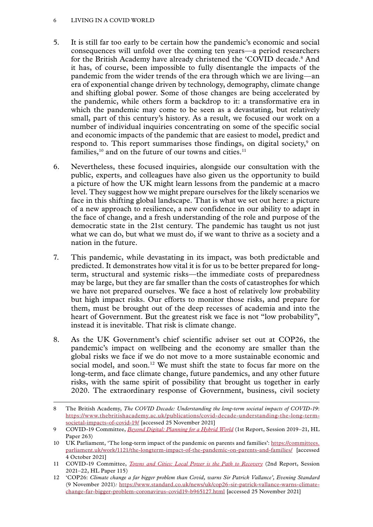#### 6 LIVING IN A COVID WORLD

- 5. It is still far too early to be certain how the pandemic's economic and social consequences will unfold over the coming ten years—a period researchers for the British Academy have already christened the 'COVID decade.8 And it has, of course, been impossible to fully disentangle the impacts of the pandemic from the wider trends of the era through which we are living—an era of exponential change driven by technology, demography, climate change and shifting global power. Some of those changes are being accelerated by the pandemic, while others form a backdrop to it: a transformative era in which the pandemic may come to be seen as a devastating, but relatively small, part of this century's history. As a result, we focused our work on a number of individual inquiries concentrating on some of the specific social and economic impacts of the pandemic that are easiest to model, predict and respond to. This report summarises those findings, on digital society,<sup>9</sup> on families, $10$  and on the future of our towns and cities.<sup>11</sup>
- 6. Nevertheless, these focused inquiries, alongside our consultation with the public, experts, and colleagues have also given us the opportunity to build a picture of how the UK might learn lessons from the pandemic at a macro level. They suggest how we might prepare ourselves for the likely scenarios we face in this shifting global landscape. That is what we set out here: a picture of a new approach to resilience, a new confidence in our ability to adapt in the face of change, and a fresh understanding of the role and purpose of the democratic state in the 21st century. The pandemic has taught us not just what we can do, but what we must do, if we want to thrive as a society and a nation in the future.
- 7. This pandemic, while devastating in its impact, was both predictable and predicted. It demonstrates how vital it is for us to be better prepared for longterm, structural and systemic risks—the immediate costs of preparedness may be large, but they are far smaller than the costs of catastrophes for which we have not prepared ourselves. We face a host of relatively low probability but high impact risks. Our efforts to monitor those risks, and prepare for them, must be brought out of the deep recesses of academia and into the heart of Government. But the greatest risk we face is not "low probability", instead it is inevitable. That risk is climate change.
- 8. As the UK Government's chief scientific adviser set out at COP26, the pandemic's impact on wellbeing and the economy are smaller than the global risks we face if we do not move to a more sustainable economic and social model, and soon.<sup>12</sup> We must shift the state to focus far more on the long-term, and face climate change, future pandemics, and any other future risks, with the same spirit of possibility that brought us together in early 2020. The extraordinary response of Government, business, civil society

<sup>8</sup> The British Academy, *The COVID Decade: Understanding the long-term societal impacts of COVID-19*: [https://www.thebritishacademy.ac.uk/publications/covid-decade-understanding-the-long-term](https://www.thebritishacademy.ac.uk/publications/covid-decade-understanding-the-long-term-societal-impacts-of-covid-19/)[societal-impacts-of-covid-19/](https://www.thebritishacademy.ac.uk/publications/covid-decade-understanding-the-long-term-societal-impacts-of-covid-19/) [accessed 25 November 2021]

<sup>9</sup> COVID-19 Committee, *[Beyond Digital: Planning for a Hybrid World](https://committees.parliament.uk/publications/5537/documents/56741/default/)* (1st Report, Session 2019–21, HL Paper 263)

<sup>10</sup> UK Parliament, 'The long-term impact of the pandemic on parents and families': [https://committees.](https://committees.parliament.uk/work/1121/the-longterm-impact-of-the-pandemic-on-parents-and-families/) [parliament.uk/work/1121/the-longterm-impact-of-the-pandemic-on-parents-and-families/](https://committees.parliament.uk/work/1121/the-longterm-impact-of-the-pandemic-on-parents-and-families/) [accessed 4 October 2021]

<sup>11</sup> COVID-19 Committee, *[Towns and Cities: Local Power is the Path to Recovery](https://publications.parliament.uk/pa/ld5802/ldselect/ldcvd19/115/11502.htm)* (2nd Report, Session 2021–22, HL Paper 115)

<sup>12</sup> 'COP26: *Climate change a far bigger problem than Covid, warns Sir Patrick Vallance', Evening Standard* (9 November 2021)*:* [https://www.standard.co.uk/news/uk/cop26-sir-patrick-vallance-warns-climate](https://www.standard.co.uk/news/uk/cop26-sir-patrick-vallance-warns-climate-change-far-bigger-problem-coronavirus-covid19-b965127.html)[change-far-bigger-problem-coronavirus-covid19-b965127.html](https://www.standard.co.uk/news/uk/cop26-sir-patrick-vallance-warns-climate-change-far-bigger-problem-coronavirus-covid19-b965127.html) [accessed 25 November 2021]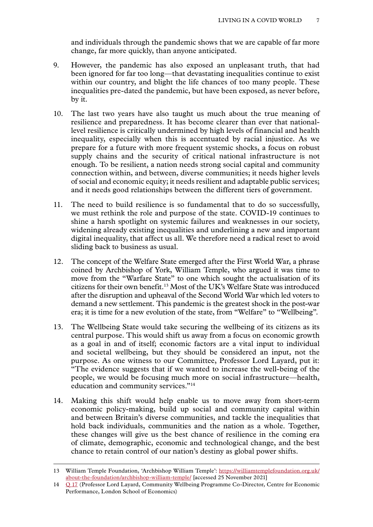and individuals through the pandemic shows that we are capable of far more change, far more quickly, than anyone anticipated.

- 9. However, the pandemic has also exposed an unpleasant truth, that had been ignored for far too long—that devastating inequalities continue to exist within our country, and blight the life chances of too many people. These inequalities pre-dated the pandemic, but have been exposed, as never before, by it.
- 10. The last two years have also taught us much about the true meaning of resilience and preparedness. It has become clearer than ever that nationallevel resilience is critically undermined by high levels of financial and health inequality, especially when this is accentuated by racial injustice. As we prepare for a future with more frequent systemic shocks, a focus on robust supply chains and the security of critical national infrastructure is not enough. To be resilient, a nation needs strong social capital and community connection within, and between, diverse communities; it needs higher levels of social and economic equity; it needs resilient and adaptable public services; and it needs good relationships between the different tiers of government.
- 11. The need to build resilience is so fundamental that to do so successfully, we must rethink the role and purpose of the state. COVID-19 continues to shine a harsh spotlight on systemic failures and weaknesses in our society, widening already existing inequalities and underlining a new and important digital inequality, that affect us all. We therefore need a radical reset to avoid sliding back to business as usual.
- 12. The concept of the Welfare State emerged after the First World War, a phrase coined by Archbishop of York, William Temple, who argued it was time to move from the "Warfare State" to one which sought the actualisation of its citizens for their own benefit.13 Most of the UK's Welfare State was introduced after the disruption and upheaval of the Second World War which led voters to demand a new settlement. This pandemic is the greatest shock in the post-war era; it is time for a new evolution of the state, from "Welfare" to "Wellbeing".
- 13. The Wellbeing State would take securing the wellbeing of its citizens as its central purpose. This would shift us away from a focus on economic growth as a goal in and of itself; economic factors are a vital input to individual and societal wellbeing, but they should be considered an input, not the purpose. As one witness to our Committee, Professor Lord Layard, put it: "The evidence suggests that if we wanted to increase the well-being of the people, we would be focusing much more on social infrastructure—health, education and community services."<sup>14</sup>
- 14. Making this shift would help enable us to move away from short-term economic policy-making, build up social and community capital within and between Britain's diverse communities, and tackle the inequalities that hold back individuals, communities and the nation as a whole. Together, these changes will give us the best chance of resilience in the coming era of climate, demographic, economic and technological change, and the best chance to retain control of our nation's destiny as global power shifts.

<sup>13</sup> William Temple Foundation, 'Archbishop William Temple': [https://williamtemplefoundation.org.uk/](https://williamtemplefoundation.org.uk/about-the-foundation/archbishop-william-temple/) [about-the-foundation/archbishop-william-temple/](https://williamtemplefoundation.org.uk/about-the-foundation/archbishop-william-temple/) [accessed 25 November 2021]

<sup>14</sup> Q [17](https://committees.parliament.uk/oralevidence/2681/html/) (Professor Lord Layard, Community Wellbeing Programme Co-Director, Centre for Economic Performance, London School of Economics)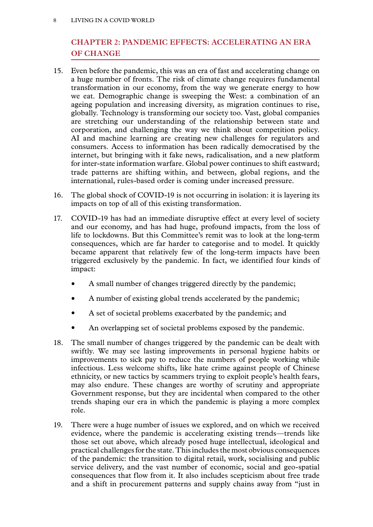#### <span id="page-9-0"></span>8 LIVING IN A COVID WORLD

# **Chapter 2: PANDEMIC EFFECTS: ACCELERATING AN ERA OF CHANGE**

- 15. Even before the pandemic, this was an era of fast and accelerating change on a huge number of fronts. The risk of climate change requires fundamental transformation in our economy, from the way we generate energy to how we eat. Demographic change is sweeping the West: a combination of an ageing population and increasing diversity, as migration continues to rise, globally. Technology is transforming our society too. Vast, global companies are stretching our understanding of the relationship between state and corporation, and challenging the way we think about competition policy. AI and machine learning are creating new challenges for regulators and consumers. Access to information has been radically democratised by the internet, but bringing with it fake news, radicalisation, and a new platform for inter-state information warfare. Global power continues to shift eastward; trade patterns are shifting within, and between, global regions, and the international, rules-based order is coming under increased pressure.
- 16. The global shock of COVID-19 is not occurring in isolation: it is layering its impacts on top of all of this existing transformation.
- 17. COVID-19 has had an immediate disruptive effect at every level of society and our economy, and has had huge, profound impacts, from the loss of life to lockdowns. But this Committee's remit was to look at the long-term consequences, which are far harder to categorise and to model. It quickly became apparent that relatively few of the long-term impacts have been triggered exclusively by the pandemic. In fact, we identified four kinds of impact:
	- A small number of changes triggered directly by the pandemic;
	- A number of existing global trends accelerated by the pandemic;
	- A set of societal problems exacerbated by the pandemic; and
	- An overlapping set of societal problems exposed by the pandemic.
- 18. The small number of changes triggered by the pandemic can be dealt with swiftly. We may see lasting improvements in personal hygiene habits or improvements to sick pay to reduce the numbers of people working while infectious. Less welcome shifts, like hate crime against people of Chinese ethnicity, or new tactics by scammers trying to exploit people's health fears, may also endure. These changes are worthy of scrutiny and appropriate Government response, but they are incidental when compared to the other trends shaping our era in which the pandemic is playing a more complex role.
- 19. There were a huge number of issues we explored, and on which we received evidence, where the pandemic is accelerating existing trends—trends like those set out above, which already posed huge intellectual, ideological and practical challenges for the state. This includes the most obvious consequences of the pandemic: the transition to digital retail, work, socialising and public service delivery, and the vast number of economic, social and geo-spatial consequences that flow from it. It also includes scepticism about free trade and a shift in procurement patterns and supply chains away from "just in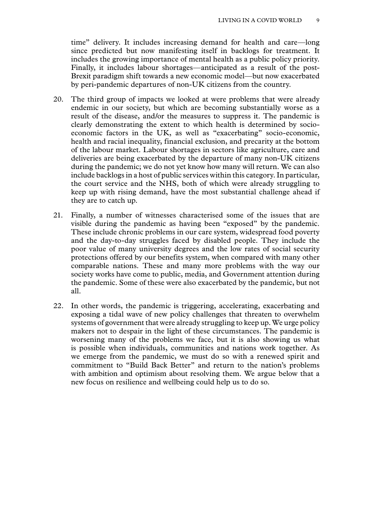time" delivery. It includes increasing demand for health and care—long since predicted but now manifesting itself in backlogs for treatment. It includes the growing importance of mental health as a public policy priority. Finally, it includes labour shortages—anticipated as a result of the post-Brexit paradigm shift towards a new economic model—but now exacerbated by peri-pandemic departures of non-UK citizens from the country.

- 20. The third group of impacts we looked at were problems that were already endemic in our society, but which are becoming substantially worse as a result of the disease, and/or the measures to suppress it. The pandemic is clearly demonstrating the extent to which health is determined by socioeconomic factors in the UK, as well as "exacerbating" socio-economic, health and racial inequality, financial exclusion, and precarity at the bottom of the labour market. Labour shortages in sectors like agriculture, care and deliveries are being exacerbated by the departure of many non-UK citizens during the pandemic; we do not yet know how many will return. We can also include backlogs in a host of public services within this category. In particular, the court service and the NHS, both of which were already struggling to keep up with rising demand, have the most substantial challenge ahead if they are to catch up.
- 21. Finally, a number of witnesses characterised some of the issues that are visible during the pandemic as having been "exposed" by the pandemic. These include chronic problems in our care system, widespread food poverty and the day-to-day struggles faced by disabled people. They include the poor value of many university degrees and the low rates of social security protections offered by our benefits system, when compared with many other comparable nations. These and many more problems with the way our society works have come to public, media, and Government attention during the pandemic. Some of these were also exacerbated by the pandemic, but not all.
- 22. In other words, the pandemic is triggering, accelerating, exacerbating and exposing a tidal wave of new policy challenges that threaten to overwhelm systems of government that were already struggling to keep up. We urge policy makers not to despair in the light of these circumstances. The pandemic is worsening many of the problems we face, but it is also showing us what is possible when individuals, communities and nations work together. As we emerge from the pandemic, we must do so with a renewed spirit and commitment to "Build Back Better" and return to the nation's problems with ambition and optimism about resolving them. We argue below that a new focus on resilience and wellbeing could help us to do so.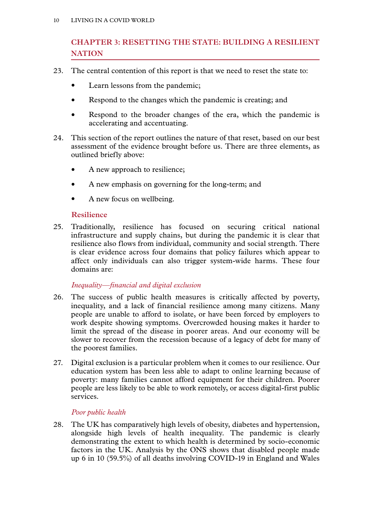# <span id="page-11-0"></span>**Chapter 3: RESETTING THE STATE: BUILDING A RESILIENT NATION**

- 23. The central contention of this report is that we need to reset the state to:
	- Learn lessons from the pandemic;
	- Respond to the changes which the pandemic is creating; and
	- Respond to the broader changes of the era, which the pandemic is accelerating and accentuating.
- 24. This section of the report outlines the nature of that reset, based on our best assessment of the evidence brought before us. There are three elements, as outlined briefly above:
	- A new approach to resilience;
	- A new emphasis on governing for the long-term; and
	- A new focus on wellbeing.

#### **Resilience**

25. Traditionally, resilience has focused on securing critical national infrastructure and supply chains, but during the pandemic it is clear that resilience also flows from individual, community and social strength. There is clear evidence across four domains that policy failures which appear to affect only individuals can also trigger system-wide harms. These four domains are:

#### *Inequality—financial and digital exclusion*

- 26. The success of public health measures is critically affected by poverty, inequality, and a lack of financial resilience among many citizens. Many people are unable to afford to isolate, or have been forced by employers to work despite showing symptoms. Overcrowded housing makes it harder to limit the spread of the disease in poorer areas. And our economy will be slower to recover from the recession because of a legacy of debt for many of the poorest families.
- 27. Digital exclusion is a particular problem when it comes to our resilience. Our education system has been less able to adapt to online learning because of poverty: many families cannot afford equipment for their children. Poorer people are less likely to be able to work remotely, or access digital-first public services.

#### *Poor public health*

28. The UK has comparatively high levels of obesity, diabetes and hypertension, alongside high levels of health inequality. The pandemic is clearly demonstrating the extent to which health is determined by socio-economic factors in the UK. Analysis by the ONS shows that disabled people made up 6 in 10 (59.5%) of all deaths involving COVID-19 in England and Wales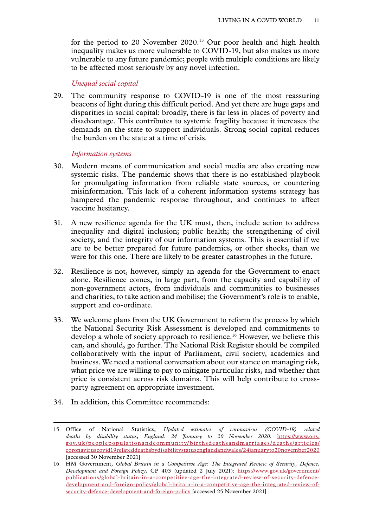<span id="page-12-0"></span>for the period to 20 November 2020.15 Our poor health and high health inequality makes us more vulnerable to COVID-19, but also makes us more vulnerable to any future pandemic; people with multiple conditions are likely to be affected most seriously by any novel infection.

#### *Unequal social capital*

29. The community response to COVID-19 is one of the most reassuring beacons of light during this difficult period. And yet there are huge gaps and disparities in social capital: broadly, there is far less in places of poverty and disadvantage. This contributes to systemic fragility because it increases the demands on the state to support individuals. Strong social capital reduces the burden on the state at a time of crisis.

#### *Information systems*

- 30. Modern means of communication and social media are also creating new systemic risks. The pandemic shows that there is no established playbook for promulgating information from reliable state sources, or countering misinformation. This lack of a coherent information systems strategy has hampered the pandemic response throughout, and continues to affect vaccine hesitancy.
- 31. A new resilience agenda for the UK must, then, include action to address inequality and digital inclusion; public health; the strengthening of civil society, and the integrity of our information systems. This is essential if we are to be better prepared for future pandemics, or other shocks, than we were for this one. There are likely to be greater catastrophes in the future.
- 32. Resilience is not, however, simply an agenda for the Government to enact alone. Resilience comes, in large part, from the capacity and capability of non-government actors, from individuals and communities to businesses and charities, to take action and mobilise; the Government's role is to enable, support and co-ordinate.
- 33. We welcome plans from the UK Government to reform the process by which the National Security Risk Assessment is developed and commitments to develop a whole of society approach to resilience.<sup>16</sup> However, we believe this can, and should, go further. The National Risk Register should be compiled collaboratively with the input of Parliament, civil society, academics and business. We need a national conversation about our stance on managing risk, what price we are willing to pay to mitigate particular risks, and whether that price is consistent across risk domains. This will help contribute to crossparty agreement on appropriate investment.
- 34. In addition, this Committee recommends:

<sup>15</sup> Office of National Statistics, *Updated estimates of coronavirus (COVID-19) related deaths by disability status, England: 24 January to 20 November 2020:* [https://www.ons.](https://www.ons.gov.uk/peoplepopulationandcommunity/birthsdeathsandmarriages/deaths/articles/coronaviruscovid19relateddeathsbydisabilitystatusenglandandwales/24januaryto20november2020%20) [gov.uk/peoplepopulationandcommunity/birthsdeathsandmarriages/deaths/articles/](https://www.ons.gov.uk/peoplepopulationandcommunity/birthsdeathsandmarriages/deaths/articles/coronaviruscovid19relateddeathsbydisabilitystatusenglandandwales/24januaryto20november2020%20) [coronaviruscovid19relateddeathsbydisabilitystatusenglandandwales/24januaryto20november2020](https://www.ons.gov.uk/peoplepopulationandcommunity/birthsdeathsandmarriages/deaths/articles/coronaviruscovid19relateddeathsbydisabilitystatusenglandandwales/24januaryto20november2020%20) [accessed 30 November 2021]

<sup>16</sup> HM Government, *Global Britain in a Competitive Age: The Integrated Review of Security, Defence, Development and Foreign Policy*, CP 403 (updated 2 July 2021): [https://www.gov.uk/government/](https://www.gov.uk/government/publications/global-britain-in-a-competitive-age-the-integrated-review-of-security-defence-development-and-foreign-policy/global-britain-in-a-competitive-age-the-integrated-review-of-security-defence-development-and-foreign-policy) [publications/global-britain-in-a-competitive-age-the-integrated-review-of-security-defence](https://www.gov.uk/government/publications/global-britain-in-a-competitive-age-the-integrated-review-of-security-defence-development-and-foreign-policy/global-britain-in-a-competitive-age-the-integrated-review-of-security-defence-development-and-foreign-policy)[development-and-foreign-policy/global-britain-in-a-competitive-age-the-integrated-review-of](https://www.gov.uk/government/publications/global-britain-in-a-competitive-age-the-integrated-review-of-security-defence-development-and-foreign-policy/global-britain-in-a-competitive-age-the-integrated-review-of-security-defence-development-and-foreign-policy)[security-defence-development-and-foreign-policy](https://www.gov.uk/government/publications/global-britain-in-a-competitive-age-the-integrated-review-of-security-defence-development-and-foreign-policy/global-britain-in-a-competitive-age-the-integrated-review-of-security-defence-development-and-foreign-policy) [accessed 25 November 2021]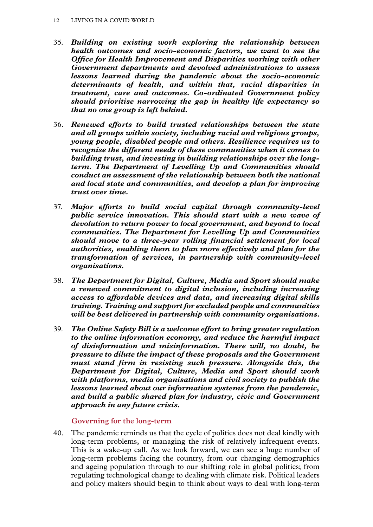- <span id="page-13-0"></span>35. *Building on existing work exploring the relationship between health outcomes and socio-economic factors, we want to see the Office for Health Improvement and Disparities working with other Government departments and devolved administrations to assess lessons learned during the pandemic about the socio-economic determinants of health, and within that, racial disparities in treatment, care and outcomes. Co-ordinated Government policy should prioritise narrowing the gap in healthy life expectancy so that no one group is left behind.*
- 36. *Renewed efforts to build trusted relationships between the state and all groups within society, including racial and religious groups, young people, disabled people and others. Resilience requires us to recognise the different needs of these communities when it comes to building trust, and investing in building relationships over the longterm. The Department of Levelling Up and Communities should conduct an assessment of the relationship between both the national and local state and communities, and develop a plan for improving trust over time.*
- 37. *Major efforts to build social capital through community-level public service innovation. This should start with a new wave of devolution to return power to local government, and beyond to local communities. The Department for Levelling Up and Communities should move to a three-year rolling financial settlement for local authorities, enabling them to plan more effectively and plan for the transformation of services, in partnership with community-level organisations.*
- 38. *The Department for Digital, Culture, Media and Sport should make a renewed commitment to digital inclusion, including increasing access to affordable devices and data, and increasing digital skills training. Training and support for excluded people and communities will be best delivered in partnership with community organisations.*
- 39. *The Online Safety Bill is a welcome effort to bring greater regulation to the online information economy, and reduce the harmful impact of disinformation and misinformation. There will, no doubt, be pressure to dilute the impact of these proposals and the Government must stand firm in resisting such pressure. Alongside this, the Department for Digital, Culture, Media and Sport should work with platforms, media organisations and civil society to publish the lessons learned about our information systems from the pandemic, and build a public shared plan for industry, civic and Government approach in any future crisis.*

**Governing for the long-term**

40. The pandemic reminds us that the cycle of politics does not deal kindly with long-term problems, or managing the risk of relatively infrequent events. This is a wake-up call. As we look forward, we can see a huge number of long-term problems facing the country, from our changing demographics and ageing population through to our shifting role in global politics; from regulating technological change to dealing with climate risk. Political leaders and policy makers should begin to think about ways to deal with long-term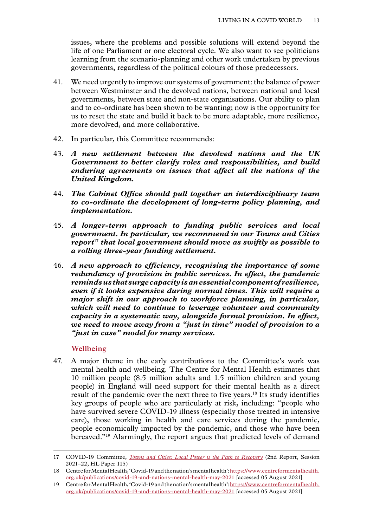<span id="page-14-0"></span>issues, where the problems and possible solutions will extend beyond the life of one Parliament or one electoral cycle. We also want to see politicians learning from the scenario-planning and other work undertaken by previous governments, regardless of the political colours of those predecessors.

- 41. We need urgently to improve our systems of government: the balance of power between Westminster and the devolved nations, between national and local governments, between state and non-state organisations. Our ability to plan and to co-ordinate has been shown to be wanting; now is the opportunity for us to reset the state and build it back to be more adaptable, more resilience, more devolved, and more collaborative.
- 42. In particular, this Committee recommends:
- 43. *A new settlement between the devolved nations and the UK Government to better clarify roles and responsibilities, and build enduring agreements on issues that affect all the nations of the United Kingdom.*
- 44. *The Cabinet Office should pull together an interdisciplinary team to co-ordinate the development of long-term policy planning, and implementation.*
- 45. *A longer-term approach to funding public services and local government. In particular, we recommend in our Towns and Cities report*<sup>17</sup> *that local government should move as swiftly as possible to a rolling three-year funding settlement.*
- 46. *A new approach to efficiency, recognising the importance of some redundancy of provision in public services. In effect, the pandemic reminds us that surge capacity is an essential component of resilience, even if it looks expensive during normal times. This will require a major shift in our approach to workforce planning, in particular, which will need to continue to leverage volunteer and community capacity in a systematic way, alongside formal provision. In effect, we need to move away from a "just in time" model of provision to a "just in case" model for many services.*

#### **Wellbeing**

47. A major theme in the early contributions to the Committee's work was mental health and wellbeing. The Centre for Mental Health estimates that 10 million people (8.5 million adults and 1.5 million children and young people) in England will need support for their mental health as a direct result of the pandemic over the next three to five years.18 Its study identifies key groups of people who are particularly at risk, including: "people who have survived severe COVID-19 illness (especially those treated in intensive care), those working in health and care services during the pandemic, people economically impacted by the pandemic, and those who have been bereaved."19 Alarmingly, the report argues that predicted levels of demand

<sup>17</sup> COVID-19 Committee, *[Towns and Cities: Local Power is the Path to Recovery](https://publications.parliament.uk/pa/ld5802/ldselect/ldcvd19/115/11502.htm)* (2nd Report, Session 2021–22, HL Paper 115)

<sup>18</sup> Centre for Mental Health, 'Covid-19 and the nation's mental health': https://www.centreformentalhealth. org.uk/publications/covid-19-and-nations-mental-health-may-202[1 \[](https://www.centreformentalhealth.org.uk/publications/covid-19-and-nations-mental-health-may-2021%20)accessed 05 August 2021]

<sup>19</sup> Centre for Mental Health, 'Covid-19 and the nation's mental health': [https://www.centreformentalhealth.](https://www.centreformentalhealth.org.uk/publications/covid-19-and-nations-mental-health-may-2021%20) [org.uk/publications/covid-19-and-nations-mental-health-may-2021 \[](https://www.centreformentalhealth.org.uk/publications/covid-19-and-nations-mental-health-may-2021%20)accessed 05 August 2021]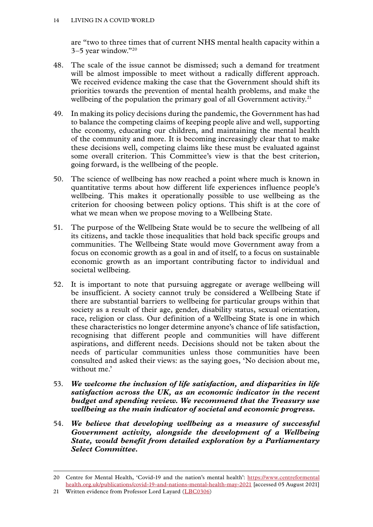are "two to three times that of current NHS mental health capacity within a 3–5 year window."20

- 48. The scale of the issue cannot be dismissed; such a demand for treatment will be almost impossible to meet without a radically different approach. We received evidence making the case that the Government should shift its priorities towards the prevention of mental health problems, and make the wellbeing of the population the primary goal of all Government activity.<sup>21</sup>
- 49. In making its policy decisions during the pandemic, the Government has had to balance the competing claims of keeping people alive and well, supporting the economy, educating our children, and maintaining the mental health of the community and more. It is becoming increasingly clear that to make these decisions well, competing claims like these must be evaluated against some overall criterion. This Committee's view is that the best criterion, going forward, is the wellbeing of the people.
- 50. The science of wellbeing has now reached a point where much is known in quantitative terms about how different life experiences influence people's wellbeing. This makes it operationally possible to use wellbeing as the criterion for choosing between policy options. This shift is at the core of what we mean when we propose moving to a Wellbeing State.
- 51. The purpose of the Wellbeing State would be to secure the wellbeing of all its citizens, and tackle those inequalities that hold back specific groups and communities. The Wellbeing State would move Government away from a focus on economic growth as a goal in and of itself, to a focus on sustainable economic growth as an important contributing factor to individual and societal wellbeing.
- 52. It is important to note that pursuing aggregate or average wellbeing will be insufficient. A society cannot truly be considered a Wellbeing State if there are substantial barriers to wellbeing for particular groups within that society as a result of their age, gender, disability status, sexual orientation, race, religion or class. Our definition of a Wellbeing State is one in which these characteristics no longer determine anyone's chance of life satisfaction, recognising that different people and communities will have different aspirations, and different needs. Decisions should not be taken about the needs of particular communities unless those communities have been consulted and asked their views: as the saying goes, 'No decision about me, without me.'
- 53. *We welcome the inclusion of life satisfaction, and disparities in life satisfaction across the UK, as an economic indicator in the recent budget and spending review. We recommend that the Treasury use wellbeing as the main indicator of societal and economic progress.*
- 54. *We believe that developing wellbeing as a measure of successful Government activity, alongside the development of a Wellbeing State, would benefit from detailed exploration by a Parliamentary Select Committee.*

<sup>20</sup> Centre for Mental Health, 'Covid-19 and the nation's mental health': [https://www.centreformental](https://www.centreformentalhealth.org.uk/publications/covid-19-and-nations-mental-health-may-2021%20) [health.org.uk/publications/covid-19-and-nations-mental-health-may-2021](https://www.centreformentalhealth.org.uk/publications/covid-19-and-nations-mental-health-may-2021%20) [accessed 05 August 2021]

<sup>21</sup> Written evidence from Professor Lord Layard ([LBC0306\)](https://committees.parliament.uk/writtenevidence/38789/html/)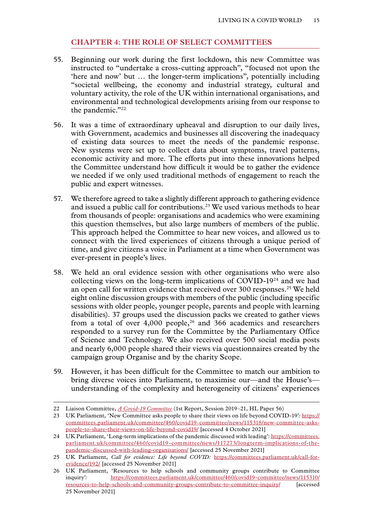#### **Chapter 4: THE ROLE OF SELECT COMMITTEES**

- <span id="page-16-0"></span>55. Beginning our work during the first lockdown, this new Committee was instructed to "undertake a cross-cutting approach", "focused not upon the 'here and now' but … the longer-term implications", potentially including "societal wellbeing, the economy and industrial strategy, cultural and voluntary activity, the role of the UK within international organisations, and environmental and technological developments arising from our response to the pandemic."<sup>22</sup>
- 56. It was a time of extraordinary upheaval and disruption to our daily lives, with Government, academics and businesses all discovering the inadequacy of existing data sources to meet the needs of the pandemic response. New systems were set up to collect data about symptoms, travel patterns, economic activity and more. The efforts put into these innovations helped the Committee understand how difficult it would be to gather the evidence we needed if we only used traditional methods of engagement to reach the public and expert witnesses.
- 57. We therefore agreed to take a slightly different approach to gathering evidence and issued a public call for contributions.<sup>23</sup> We used various methods to hear from thousands of people: organisations and academics who were examining this question themselves, but also large numbers of members of the public. This approach helped the Committee to hear new voices, and allowed us to connect with the lived experiences of citizens through a unique period of time, and give citizens a voice in Parliament at a time when Government was ever-present in people's lives.
- 58. We held an oral evidence session with other organisations who were also collecting views on the long-term implications of COVID-1924 and we had an open call for written evidence that received over 300 responses.25 We held eight online discussion groups with members of the public (including specific sessions with older people, younger people, parents and people with learning disabilities). 37 groups used the discussion packs we created to gather views from a total of over  $4,000$  people,<sup>26</sup> and 366 academics and researchers responded to a survey run for the Committee by the Parliamentary Office of Science and Technology. We also received over 500 social media posts and nearly 6,000 people shared their views via questionnaires created by the campaign group Organise and by the charity Scope.
- 59. However, it has been difficult for the Committee to match our ambition to bring diverse voices into Parliament, to maximise our—and the House's understanding of the complexity and heterogeneity of citizens' experiences

<sup>22</sup> Liaison Committee, *[A Covid-19 Committee](https://publications.parliament.uk/pa/ld5801/ldselect/ldliaison/56/5602.htm)* (1st Report, Session 2019–21, HL Paper 56)

<sup>23</sup> UK Parliament, 'New Committee asks people to share their views on life beyond COVID-19'*:* [https://](https://committees.parliament.uk/committee/460/covid19-committee/news/115318/new-committee-asks-people-to-share-their-views-on-life-beyond-covid19/) [committees.parliament.uk/committee/460/covid19-committee/news/115318/new-committee-asks](https://committees.parliament.uk/committee/460/covid19-committee/news/115318/new-committee-asks-people-to-share-their-views-on-life-beyond-covid19/)[people-to-share-their-views-on-life-beyond-covid19/](https://committees.parliament.uk/committee/460/covid19-committee/news/115318/new-committee-asks-people-to-share-their-views-on-life-beyond-covid19/) [accessed 4 October 2021]

<sup>24</sup> UK Parliament, 'Long-term implications of the pandemic discussed with leading': [https://committees.](https://committees.parliament.uk/committee/460/covid19-committee/news/117273/longterm-implications-of-the-pandemic-discussed-with-leading-organisations/) [parliament.uk/committee/460/covid19-committee/news/117273/longterm-implications-of-the](https://committees.parliament.uk/committee/460/covid19-committee/news/117273/longterm-implications-of-the-pandemic-discussed-with-leading-organisations/)[pandemic-discussed-with-leading-organisations/](https://committees.parliament.uk/committee/460/covid19-committee/news/117273/longterm-implications-of-the-pandemic-discussed-with-leading-organisations/) [accessed 25 November 2021]

<sup>25</sup> UK Parliament, *Call for evidence: Life beyond COVID:* [https://committees.parliament.uk/call-for](https://committees.parliament.uk/call-for-evidence/192/)[evidence/192/](https://committees.parliament.uk/call-for-evidence/192/) [accessed 25 November 2021]

<sup>26</sup> UK Parliament, 'Resources to help schools and community groups contribute to Committee inquiry'*:* [https://committees.parliament.uk/committee/460/covid19-committee/news/115310/](https://committees.parliament.uk/committee/460/covid19-committee/news/115310/resources-to-help-schools-and-community-groups-contribute-to-committee-inquiry/) [resources-to-help-schools-and-community-groups-contribute-to-committee-inquiry/](https://committees.parliament.uk/committee/460/covid19-committee/news/115310/resources-to-help-schools-and-community-groups-contribute-to-committee-inquiry/) [accessed 25 November 2021]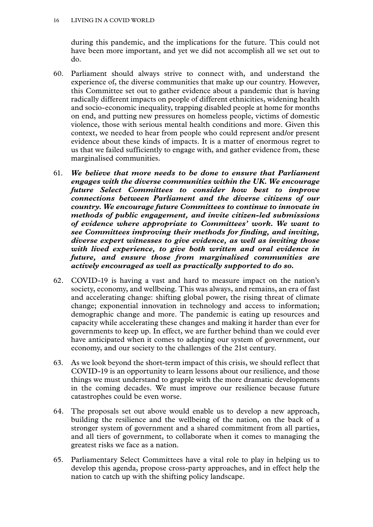during this pandemic, and the implications for the future. This could not have been more important, and yet we did not accomplish all we set out to do.

- 60. Parliament should always strive to connect with, and understand the experience of, the diverse communities that make up our country. However, this Committee set out to gather evidence about a pandemic that is having radically different impacts on people of different ethnicities, widening health and socio-economic inequality, trapping disabled people at home for months on end, and putting new pressures on homeless people, victims of domestic violence, those with serious mental health conditions and more. Given this context, we needed to hear from people who could represent and/or present evidence about these kinds of impacts. It is a matter of enormous regret to us that we failed sufficiently to engage with, and gather evidence from, these marginalised communities.
- 61. *We believe that more needs to be done to ensure that Parliament engages with the diverse communities within the UK. We encourage future Select Committees to consider how best to improve connections between Parliament and the diverse citizens of our country. We encourage future Committees to continue to innovate in methods of public engagement, and invite citizen-led submissions of evidence where appropriate to Committees' work. We want to see Committees improving their methods for finding, and inviting, diverse expert witnesses to give evidence, as well as inviting those with lived experience, to give both written and oral evidence in future, and ensure those from marginalised communities are actively encouraged as well as practically supported to do so.*
- 62. COVID-19 is having a vast and hard to measure impact on the nation's society, economy, and wellbeing. This was always, and remains, an era of fast and accelerating change: shifting global power, the rising threat of climate change; exponential innovation in technology and access to information; demographic change and more. The pandemic is eating up resources and capacity while accelerating these changes and making it harder than ever for governments to keep up. In effect, we are further behind than we could ever have anticipated when it comes to adapting our system of government, our economy, and our society to the challenges of the 21st century.
- 63. As we look beyond the short-term impact of this crisis, we should reflect that COVID-19 is an opportunity to learn lessons about our resilience, and those things we must understand to grapple with the more dramatic developments in the coming decades. We must improve our resilience because future catastrophes could be even worse.
- 64. The proposals set out above would enable us to develop a new approach, building the resilience and the wellbeing of the nation, on the back of a stronger system of government and a shared commitment from all parties, and all tiers of government, to collaborate when it comes to managing the greatest risks we face as a nation.
- 65. Parliamentary Select Committees have a vital role to play in helping us to develop this agenda, propose cross-party approaches, and in effect help the nation to catch up with the shifting policy landscape.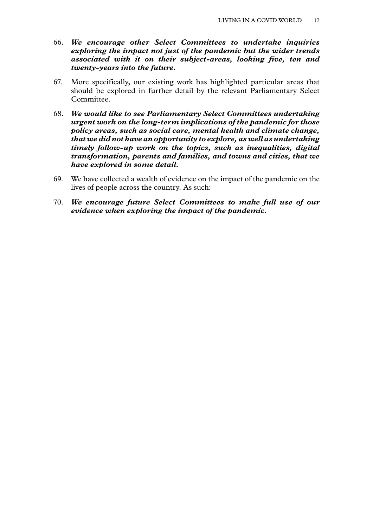- 66. *We encourage other Select Committees to undertake inquiries exploring the impact not just of the pandemic but the wider trends associated with it on their subject-areas, looking five, ten and twenty-years into the future.*
- 67. More specifically, our existing work has highlighted particular areas that should be explored in further detail by the relevant Parliamentary Select Committee.
- 68. *We would like to see Parliamentary Select Committees undertaking urgent work on the long-term implications of the pandemic for those policy areas, such as social care, mental health and climate change, that we did not have an opportunity to explore, as well as undertaking timely follow-up work on the topics, such as inequalities, digital transformation, parents and families, and towns and cities, that we have explored in some detail.*
- 69. We have collected a wealth of evidence on the impact of the pandemic on the lives of people across the country. As such:
- 70. *We encourage future Select Committees to make full use of our evidence when exploring the impact of the pandemic.*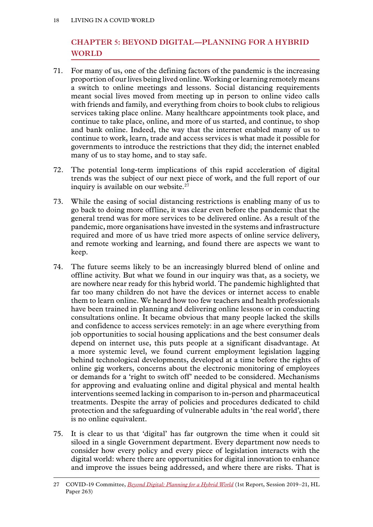# <span id="page-19-0"></span>**Chapter 5: BEYOND DIGITAL—PLANNING FOR A HYBRID WORLD**

- 71. For many of us, one of the defining factors of the pandemic is the increasing proportion of our lives being lived online. Working or learning remotely means a switch to online meetings and lessons. Social distancing requirements meant social lives moved from meeting up in person to online video calls with friends and family, and everything from choirs to book clubs to religious services taking place online. Many healthcare appointments took place, and continue to take place, online, and more of us started, and continue, to shop and bank online. Indeed, the way that the internet enabled many of us to continue to work, learn, trade and access services is what made it possible for governments to introduce the restrictions that they did; the internet enabled many of us to stay home, and to stay safe.
- 72. The potential long-term implications of this rapid acceleration of digital trends was the subject of our next piece of work, and the full report of our inquiry is available on our website.<sup>27</sup>
- 73. While the easing of social distancing restrictions is enabling many of us to go back to doing more offline, it was clear even before the pandemic that the general trend was for more services to be delivered online. As a result of the pandemic, more organisations have invested in the systems and infrastructure required and more of us have tried more aspects of online service delivery, and remote working and learning, and found there are aspects we want to keep.
- 74. The future seems likely to be an increasingly blurred blend of online and offline activity. But what we found in our inquiry was that, as a society, we are nowhere near ready for this hybrid world. The pandemic highlighted that far too many children do not have the devices or internet access to enable them to learn online. We heard how too few teachers and health professionals have been trained in planning and delivering online lessons or in conducting consultations online. It became obvious that many people lacked the skills and confidence to access services remotely: in an age where everything from job opportunities to social housing applications and the best consumer deals depend on internet use, this puts people at a significant disadvantage. At a more systemic level, we found current employment legislation lagging behind technological developments, developed at a time before the rights of online gig workers, concerns about the electronic monitoring of employees or demands for a 'right to switch off' needed to be considered. Mechanisms for approving and evaluating online and digital physical and mental health interventions seemed lacking in comparison to in-person and pharmaceutical treatments. Despite the array of policies and procedures dedicated to child protection and the safeguarding of vulnerable adults in 'the real world', there is no online equivalent.
- 75. It is clear to us that 'digital' has far outgrown the time when it could sit siloed in a single Government department. Every department now needs to consider how every policy and every piece of legislation interacts with the digital world: where there are opportunities for digital innovation to enhance and improve the issues being addressed, and where there are risks. That is

<sup>27</sup> COVID-19 Committee, *[Beyond Digital: Planning for a Hybrid World](https://committees.parliament.uk/publications/5537/documents/56741/default/)* (1st Report, Session 2019–21, HL Paper 263)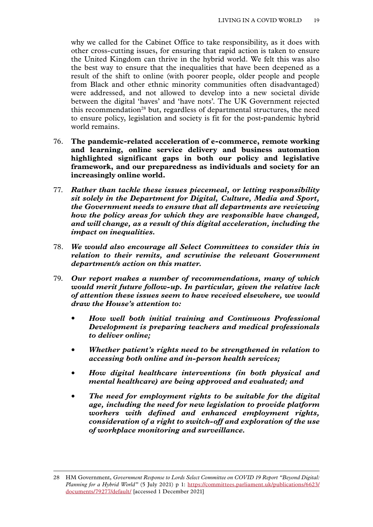why we called for the Cabinet Office to take responsibility, as it does with other cross-cutting issues, for ensuring that rapid action is taken to ensure the United Kingdom can thrive in the hybrid world. We felt this was also the best way to ensure that the inequalities that have been deepened as a result of the shift to online (with poorer people, older people and people from Black and other ethnic minority communities often disadvantaged) were addressed, and not allowed to develop into a new societal divide between the digital 'haves' and 'have nots'. The UK Government rejected this recommendation<sup>28</sup> but, regardless of departmental structures, the need to ensure policy, legislation and society is fit for the post-pandemic hybrid world remains.

- 76. **The pandemic-related acceleration of e-commerce, remote working and learning, online service delivery and business automation highlighted significant gaps in both our policy and legislative framework, and our preparedness as individuals and society for an increasingly online world.**
- 77. *Rather than tackle these issues piecemeal, or letting responsibility sit solely in the Department for Digital, Culture, Media and Sport, the Government needs to ensure that all departments are reviewing how the policy areas for which they are responsible have changed, and will change, as a result of this digital acceleration, including the impact on inequalities.*
- 78. *We would also encourage all Select Committees to consider this in relation to their remits, and scrutinise the relevant Government department/s action on this matter.*
- 79. *Our report makes a number of recommendations, many of which would merit future follow-up. In particular, given the relative lack of attention these issues seem to have received elsewhere, we would draw the House's attention to:*
	- *How well both initial training and Continuous Professional Development is preparing teachers and medical professionals to deliver online;*
	- *Whether patient's rights need to be strengthened in relation to accessing both online and in-person health services;*
	- *How digital healthcare interventions (in both physical and mental healthcare) are being approved and evaluated; and*
	- *The need for employment rights to be suitable for the digital age, including the need for new legislation to provide platform workers with defined and enhanced employment rights, consideration of a right to switch-off and exploration of the use of workplace monitoring and surveillance.*

<sup>28</sup> HM Government, *Government Response to Lords Select Committee on COVID 19 Report "Beyond Digital: Planning for a Hybrid World"* (5 July 2021) p 1: [https://committees.parliament.uk/publications/6623/](https://committees.parliament.uk/publications/6623/documents/79277/default/) [documents/79277/default/](https://committees.parliament.uk/publications/6623/documents/79277/default/) [accessed 1 December 2021]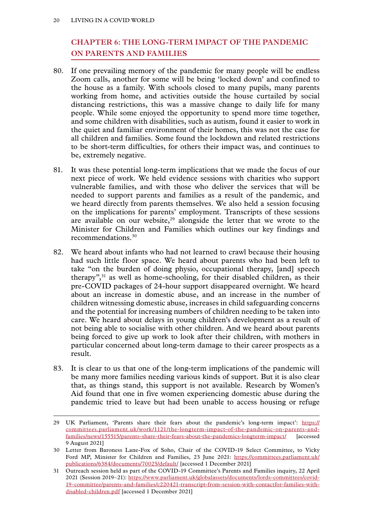# <span id="page-21-0"></span>**Chapter 6: THE LONG-TERM IMPACT OF THE PANDEMIC ON PARENTS AND FAMILIES**

- 80. If one prevailing memory of the pandemic for many people will be endless Zoom calls, another for some will be being 'locked down' and confined to the house as a family. With schools closed to many pupils, many parents working from home, and activities outside the house curtailed by social distancing restrictions, this was a massive change to daily life for many people. While some enjoyed the opportunity to spend more time together, and some children with disabilities, such as autism, found it easier to work in the quiet and familiar environment of their homes, this was not the case for all children and families. Some found the lockdown and related restrictions to be short-term difficulties, for others their impact was, and continues to be, extremely negative.
- 81. It was these potential long-term implications that we made the focus of our next piece of work. We held evidence sessions with charities who support vulnerable families, and with those who deliver the services that will be needed to support parents and families as a result of the pandemic, and we heard directly from parents themselves. We also held a session focusing on the implications for parents' employment. Transcripts of these sessions are available on our website, $29$  alongside the letter that we wrote to the Minister for Children and Families which outlines our key findings and recommendations<sup>30</sup>
- 82. We heard about infants who had not learned to crawl because their housing had such little floor space. We heard about parents who had been left to take "on the burden of doing physio, occupational therapy, [and] speech therapy",31 as well as home-schooling, for their disabled children, as their pre-COVID packages of 24-hour support disappeared overnight. We heard about an increase in domestic abuse, and an increase in the number of children witnessing domestic abuse, increases in child safeguarding concerns and the potential for increasing numbers of children needing to be taken into care. We heard about delays in young children's development as a result of not being able to socialise with other children. And we heard about parents being forced to give up work to look after their children, with mothers in particular concerned about long-term damage to their career prospects as a result.
- 83. It is clear to us that one of the long-term implications of the pandemic will be many more families needing various kinds of support. But it is also clear that, as things stand, this support is not available. Research by Women's Aid found that one in five women experiencing domestic abuse during the pandemic tried to leave but had been unable to access housing or refuge

<sup>29</sup> UK Parliament, 'Parents share their fears about the pandemic's long-term impact': [https://](https://committees.parliament.uk/work/1121/the-longterm-impact-of-the-pandemic-on-parents-and-families/news/155515/parents-share-their-fears-about-the-pandemics-longterm-impact/) [committees.parliament.uk/work/1121/the-longterm-impact-of-the-pandemic-on-parents-and](https://committees.parliament.uk/work/1121/the-longterm-impact-of-the-pandemic-on-parents-and-families/news/155515/parents-share-their-fears-about-the-pandemics-longterm-impact/)[families/news/155515/parents-share-their-fears-about-the-pandemics-longterm-impact/](https://committees.parliament.uk/work/1121/the-longterm-impact-of-the-pandemic-on-parents-and-families/news/155515/parents-share-their-fears-about-the-pandemics-longterm-impact/) [accessed 9 August 2021]

<sup>30</sup> Letter from Baroness Lane-Fox of Soho, Chair of the COVID-19 Select Committee, to Vicky Ford MP, Minister for Children and Families, 23 June 2021: [https://committees.parliament.uk/](https://committees.parliament.uk/publications/6384/documents/70025/default/) [publications/6384/documents/70025/default/](https://committees.parliament.uk/publications/6384/documents/70025/default/) [accessed 1 December 2021]

<sup>31</sup> Outreach session held as part of the COVID-19 Committee's Parents and Families inquiry, 22 April 2021 (Session 2019–21): [https://www.parliament.uk/globalassets/documents/lords-committees/covid-](https://www.parliament.uk/globalassets/documents/lords-committees/covid-19-committee/parents-and-families/c220421-transcript-from-session-with-contactfor-families-with-disabled-children.pdf)[19-committee/parents-and-families/c220421-transcript-from-session-with-contactfor-families-with](https://www.parliament.uk/globalassets/documents/lords-committees/covid-19-committee/parents-and-families/c220421-transcript-from-session-with-contactfor-families-with-disabled-children.pdf)[disabled-children.pdf](https://www.parliament.uk/globalassets/documents/lords-committees/covid-19-committee/parents-and-families/c220421-transcript-from-session-with-contactfor-families-with-disabled-children.pdf) [accessed 1 December 2021]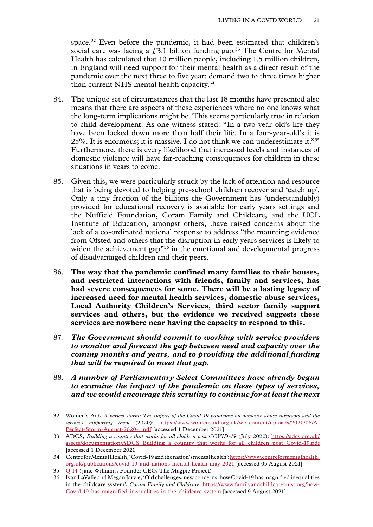space.<sup>32</sup> Even before the pandemic, it had been estimated that children's social care was facing a  $f<sub>1</sub>3.1$  billion funding gap.<sup>33</sup> The Centre for Mental Health has calculated that 10 million people, including 1.5 million children, in England will need support for their mental health as a direct result of the pandemic over the next three to five year: demand two to three times higher than current NHS mental health capacity.34

- 84. The unique set of circumstances that the last 18 months have presented also means that there are aspects of these experiences where no one knows what the long-term implications might be. This seems particularly true in relation to child development. As one witness stated: "In a two year-old's life they have been locked down more than half their life. In a four-year-old's it is 25%. It is enormous; it is massive. I do not think we can underestimate it."<sup>35</sup> Furthermore, there is every likelihood that increased levels and instances of domestic violence will have far-reaching consequences for children in these situations in years to come.
- 85. Given this, we were particularly struck by the lack of attention and resource that is being devoted to helping pre-school children recover and 'catch up'. Only a tiny fraction of the billions the Government has (understandably) provided for educational recovery is available for early years settings and the Nuffield Foundation, Coram Family and Childcare, and the UCL Institute of Education, amongst others, .have raised concerns about the lack of a co-ordinated national response to address "the mounting evidence from Ofsted and others that the disruption in early years services is likely to widen the achievement gap<sup>356</sup> in the emotional and developmental progress of disadvantaged children and their peers.
- 86. **The way that the pandemic confined many families to their houses, and restricted interactions with friends, family and services, has had severe consequences for some. There will be a lasting legacy of increased need for mental health services, domestic abuse services, Local Authority Children's Services, third sector family support services and others, but the evidence we received suggests these services are nowhere near having the capacity to respond to this.**
- 87. *The Government should commit to working with service providers to monitor and forecast the gap between need and capacity over the coming months and years, and to providing the additional funding that will be required to meet that gap.*
- 88. *A number of Parliamentary Select Committees have already begun to examine the impact of the pandemic on these types of services, and we would encourage this scrutiny to continue for at least the next*

<sup>32</sup> Women's Aid, *A perfect storm: The impact of the Covid-19 pandemic on domestic abuse survivors and the services supporting them* (2020): [https://www.womensaid.org.uk/wp-content/uploads/2020/08/A-](https://www.womensaid.org.uk/wp-content/uploads/2020/08/A-Perfect-Storm-August-2020-1.pdf)[Perfect-Storm-August-2020-1.pdf](https://www.womensaid.org.uk/wp-content/uploads/2020/08/A-Perfect-Storm-August-2020-1.pdf) [accessed 1 December 2021]

<sup>33</sup> ADCS, *Building a country that works for all children post COVID-19* (July 2020): [https://adcs.org.uk/](https://adcs.org.uk/assets/documentation/ADCS_Building_a_country_that_works_for_all_children_post_Covid-19.pdf) [assets/documentation/ADCS\\_Building\\_a\\_country\\_that\\_works\\_for\\_all\\_children\\_post\\_Covid-19.pdf](https://adcs.org.uk/assets/documentation/ADCS_Building_a_country_that_works_for_all_children_post_Covid-19.pdf) [accessed 1 December 2021]

<sup>34</sup> Centre for Mental Health, 'Covid-19 and the nation's mental health': [https://www.centreformentalhealth.](https://www.centreformentalhealth.org.uk/publications/covid-19-and-nations-mental-health-may-2021) [org.uk/publications/covid-19-and-nations-mental-health-may-2021](https://www.centreformentalhealth.org.uk/publications/covid-19-and-nations-mental-health-may-2021) [accessed 05 August 2021]

<sup>35</sup> Q [14](https://committees.parliament.uk/oralevidence/2093/html/) (Jane Williams, Founder CEO, The Magpie Project)

<sup>36</sup> Ivan LaValle and Megan Jarvie, 'Old challenges, new concerns: how Covid-19 has magnified inequalities in the childcare system', *Coram Family and Childcare*: [https://www.familyandchildcaretrust.org/how-](https://www.familyandchildcaretrust.org/how-Covid-19-has-magnified-inequalities-in-the-childcare-system)[Covid-19-has-magnified-inequalities-in-the-childcare-system](https://www.familyandchildcaretrust.org/how-Covid-19-has-magnified-inequalities-in-the-childcare-system) [accessed 9 August 2021]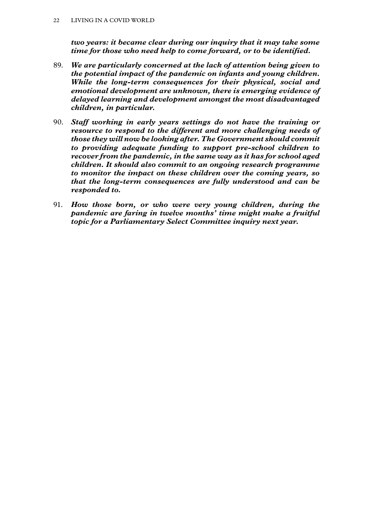*two years: it became clear during our inquiry that it may take some time for those who need help to come forward, or to be identified.*

- 89. *We are particularly concerned at the lack of attention being given to the potential impact of the pandemic on infants and young children. While the long-term consequences for their physical, social and emotional development are unknown, there is emerging evidence of delayed learning and development amongst the most disadvantaged children, in particular.*
- 90. *Staff working in early years settings do not have the training or resource to respond to the different and more challenging needs of those they will now be looking after. The Government should commit to providing adequate funding to support pre-school children to recover from the pandemic, in the same way as it has for school aged children. It should also commit to an ongoing research programme to monitor the impact on these children over the coming years, so that the long-term consequences are fully understood and can be responded to.*
- 91. *How those born, or who were very young children, during the pandemic are faring in twelve months' time might make a fruitful topic for a Parliamentary Select Committee inquiry next year.*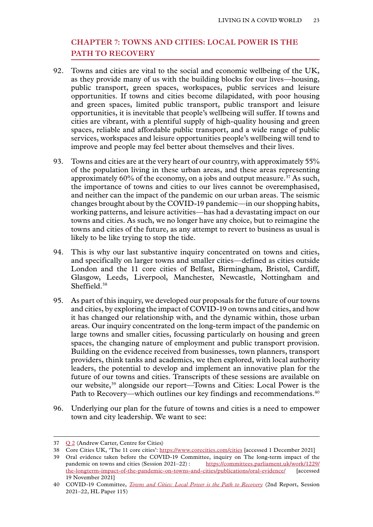# <span id="page-24-0"></span>**Chapter 7: TOWNS AND CITIES: LOCAL POWER IS THE PATH TO RECOVERY**

- 92. Towns and cities are vital to the social and economic wellbeing of the UK, as they provide many of us with the building blocks for our lives—housing, public transport, green spaces, workspaces, public services and leisure opportunities. If towns and cities become dilapidated, with poor housing and green spaces, limited public transport, public transport and leisure opportunities, it is inevitable that people's wellbeing will suffer. If towns and cities are vibrant, with a plentiful supply of high-quality housing and green spaces, reliable and affordable public transport, and a wide range of public services, workspaces and leisure opportunities people's wellbeing will tend to improve and people may feel better about themselves and their lives.
- 93. Towns and cities are at the very heart of our country, with approximately 55% of the population living in these urban areas, and these areas representing approximately 60% of the economy, on a jobs and output measure.37 As such, the importance of towns and cities to our lives cannot be overemphasised, and neither can the impact of the pandemic on our urban areas. The seismic changes brought about by the COVID-19 pandemic—in our shopping habits, working patterns, and leisure activities—has had a devastating impact on our towns and cities. As such, we no longer have any choice, but to reimagine the towns and cities of the future, as any attempt to revert to business as usual is likely to be like trying to stop the tide.
- 94. This is why our last substantive inquiry concentrated on towns and cities, and specifically on larger towns and smaller cities—defined as cities outside London and the 11 core cities of Belfast, Birmingham, Bristol, Cardiff, Glasgow, Leeds, Liverpool, Manchester, Newcastle, Nottingham and Sheffield.<sup>38</sup>
- 95. As part of this inquiry, we developed our proposals for the future of our towns and cities, by exploring the impact of COVID-19 on towns and cities, and how it has changed our relationship with, and the dynamic within, those urban areas. Our inquiry concentrated on the long-term impact of the pandemic on large towns and smaller cities, focussing particularly on housing and green spaces, the changing nature of employment and public transport provision. Building on the evidence received from businesses, town planners, transport providers, think tanks and academics, we then explored, with local authority leaders, the potential to develop and implement an innovative plan for the future of our towns and cities. Transcripts of these sessions are available on our website,39 alongside our report—Towns and Cities: Local Power is the Path to Recovery—which outlines our key findings and recommendations.<sup>40</sup>
- 96. Underlying our plan for the future of towns and cities is a need to empower town and city leadership. We want to see:

<sup>37</sup> O 2 (Andrew Carter, Centre for Cities)

<sup>38</sup> Core Cities UK, 'The 11 core cities': <https://www.corecities.com/cities>[accessed 1 December 2021]

<sup>39</sup> Oral evidence taken before the COVID-19 Committee, inquiry on The long-term impact of the pandemic on towns and cities (Session 2021–22): https://committees.parliament.uk/work/1229/ [https://committees.parliament.uk/work/1229/](https://committees.parliament.uk/work/1229/the-longterm-impact-of-the-pandemic-on-towns-and-cities/publications/oral-evidence/) [the-longterm-impact-of-the-pandemic-on-towns-and-cities/publications/oral-evidence/](https://committees.parliament.uk/work/1229/the-longterm-impact-of-the-pandemic-on-towns-and-cities/publications/oral-evidence/) [accessed 19 November 2021]

<sup>40</sup> COVID-19 Committee, *[Towns and Cities: Local Power is the Path to Recovery](https://publications.parliament.uk/pa/ld5802/ldselect/ldcvd19/115/11502.htm)* (2nd Report, Session 2021–22, HL Paper 115)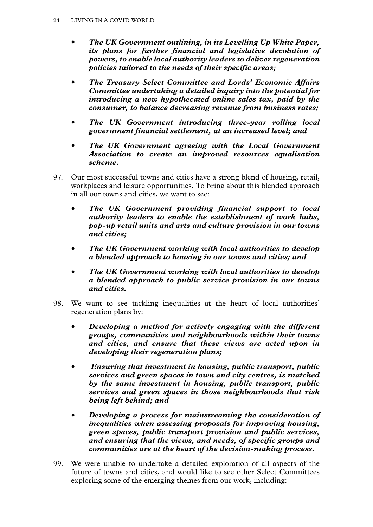- *The UK Government outlining, in its Levelling Up White Paper, its plans for further financial and legislative devolution of powers, to enable local authority leaders to deliver regeneration policies tailored to the needs of their specific areas;*
- *The Treasury Select Committee and Lords' Economic Affairs Committee undertaking a detailed inquiry into the potential for introducing a new hypothecated online sales tax, paid by the consumer, to balance decreasing revenue from business rates;*
- *The UK Government introducing three-year rolling local government financial settlement, at an increased level; and*
- *The UK Government agreeing with the Local Government Association to create an improved resources equalisation scheme.*
- 97. Our most successful towns and cities have a strong blend of housing, retail, workplaces and leisure opportunities. To bring about this blended approach in all our towns and cities, we want to see:
	- *The UK Government providing financial support to local authority leaders to enable the establishment of work hubs, pop-up retail units and arts and culture provision in our towns and cities;*
	- *The UK Government working with local authorities to develop a blended approach to housing in our towns and cities; and*
	- *The UK Government working with local authorities to develop a blended approach to public service provision in our towns and cities.*
- 98. We want to see tackling inequalities at the heart of local authorities' regeneration plans by:
	- *Developing a method for actively engaging with the different groups, communities and neighbourhoods within their towns and cities, and ensure that these views are acted upon in developing their regeneration plans;*
	- • *Ensuring that investment in housing, public transport, public services and green spaces in town and city centres, is matched by the same investment in housing, public transport, public services and green spaces in those neighbourhoods that risk being left behind; and*
	- *Developing a process for mainstreaming the consideration of inequalities when assessing proposals for improving housing, green spaces, public transport provision and public services, and ensuring that the views, and needs, of specific groups and communities are at the heart of the decision-making process.*
- 99. We were unable to undertake a detailed exploration of all aspects of the future of towns and cities, and would like to see other Select Committees exploring some of the emerging themes from our work, including: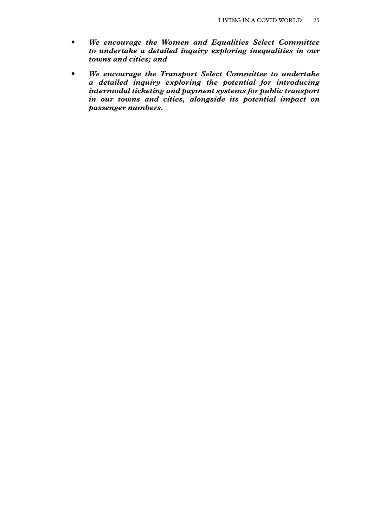- *We encourage the Women and Equalities Select Committee to undertake a detailed inquiry exploring inequalities in our towns and cities; and*
- *We encourage the Transport Select Committee to undertake a detailed inquiry exploring the potential for introducing intermodal ticketing and payment systems for public transport in our towns and cities, alongside its potential impact on passenger numbers.*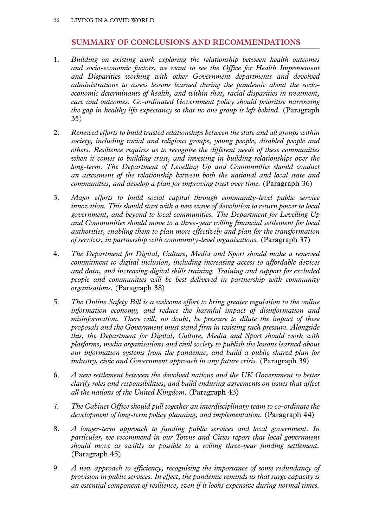#### **SUMMARY OF CONCLUSIONS AND RECOMMENDATIONS**

- <span id="page-27-0"></span>1. *Building on existing work exploring the relationship between health outcomes and socio-economic factors, we want to see the Office for Health Improvement and Disparities working with other Government departments and devolved administrations to assess lessons learned during the pandemic about the socioeconomic determinants of health, and within that, racial disparities in treatment, care and outcomes. Co-ordinated Government policy should prioritise narrowing the gap in healthy life expectancy so that no one group is left behind.* (Paragraph 35)
- 2. *Renewed efforts to build trusted relationships between the state and all groups within society, including racial and religious groups, young people, disabled people and others. Resilience requires us to recognise the different needs of these communities when it comes to building trust, and investing in building relationships over the*  long-term. The Department of Levelling Up and Communities should conduct *an assessment of the relationship between both the national and local state and communities, and develop a plan for improving trust over time.* (Paragraph 36)
- 3. *Major efforts to build social capital through community-level public service innovation. This should start with a new wave of devolution to return power to local government, and beyond to local communities. The Department for Levelling Up and Communities should move to a three-year rolling financial settlement for local authorities, enabling them to plan more effectively and plan for the transformation of services, in partnership with community-level organisations.* (Paragraph 37)
- 4. *The Department for Digital, Culture, Media and Sport should make a renewed commitment to digital inclusion, including increasing access to affordable devices and data, and increasing digital skills training. Training and support for excluded people and communities will be best delivered in partnership with community organisations.* (Paragraph 38)
- 5. *The Online Safety Bill is a welcome effort to bring greater regulation to the online information economy, and reduce the harmful impact of disinformation and misinformation. There will, no doubt, be pressure to dilute the impact of these proposals and the Government must stand firm in resisting such pressure. Alongside this, the Department for Digital, Culture, Media and Sport should work with platforms, media organisations and civil society to publish the lessons learned about our information systems from the pandemic, and build a public shared plan for industry, civic and Government approach in any future crisis.* (Paragraph 39)
- 6. *A new settlement between the devolved nations and the UK Government to better clarify roles and responsibilities, and build enduring agreements on issues that affect all the nations of the United Kingdom.* (Paragraph 43)
- 7. *The Cabinet Office should pull together an interdisciplinary team to co-ordinate the development of long-term policy planning, and implementation.* (Paragraph 44)
- 8. *A longer-term approach to funding public services and local government. In particular, we recommend in our Towns and Cities report that local government should move as swiftly as possible to a rolling three-year funding settlement.*  (Paragraph 45)
- 9. *A new approach to efficiency, recognising the importance of some redundancy of provision in public services. In effect, the pandemic reminds us that surge capacity is an essential component of resilience, even if it looks expensive during normal times.*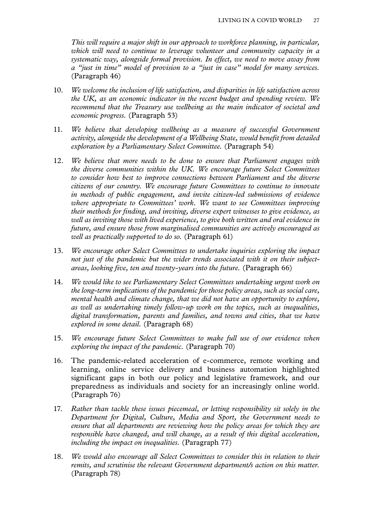*This will require a major shift in our approach to workforce planning, in particular, which will need to continue to leverage volunteer and community capacity in a systematic way, alongside formal provision. In effect, we need to move away from a "just in time" model of provision to a "just in case" model for many services.*  (Paragraph 46)

- 10. *We welcome the inclusion of life satisfaction, and disparities in life satisfaction across the UK, as an economic indicator in the recent budget and spending review. We recommend that the Treasury use wellbeing as the main indicator of societal and economic progress.* (Paragraph 53)
- 11. *We believe that developing wellbeing as a measure of successful Government activity, alongside the development of a Wellbeing State, would benefit from detailed exploration by a Parliamentary Select Committee.* (Paragraph 54)
- 12. *We believe that more needs to be done to ensure that Parliament engages with the diverse communities within the UK. We encourage future Select Committees to consider how best to improve connections between Parliament and the diverse citizens of our country. We encourage future Committees to continue to innovate in methods of public engagement, and invite citizen-led submissions of evidence where appropriate to Committees' work. We want to see Committees improving their methods for finding, and inviting, diverse expert witnesses to give evidence, as well as inviting those with lived experience, to give both written and oral evidence in future, and ensure those from marginalised communities are actively encouraged as well as practically supported to do so.* (Paragraph 61)
- 13. *We encourage other Select Committees to undertake inquiries exploring the impact not just of the pandemic but the wider trends associated with it on their subjectareas, looking five, ten and twenty-years into the future.* (Paragraph 66)
- 14. *We would like to see Parliamentary Select Committees undertaking urgent work on the long-term implications of the pandemic for those policy areas, such as social care, mental health and climate change, that we did not have an opportunity to explore, as well as undertaking timely follow-up work on the topics, such as inequalities, digital transformation, parents and families, and towns and cities, that we have explored in some detail.* (Paragraph 68)
- 15. *We encourage future Select Committees to make full use of our evidence when exploring the impact of the pandemic.* (Paragraph 70)
- 16. The pandemic-related acceleration of e-commerce, remote working and learning, online service delivery and business automation highlighted significant gaps in both our policy and legislative framework, and our preparedness as individuals and society for an increasingly online world. (Paragraph 76)
- 17. *Rather than tackle these issues piecemeal, or letting responsibility sit solely in the Department for Digital, Culture, Media and Sport, the Government needs to ensure that all departments are reviewing how the policy areas for which they are responsible have changed, and will change, as a result of this digital acceleration, including the impact on inequalities.* (Paragraph 77)
- 18. *We would also encourage all Select Committees to consider this in relation to their remits, and scrutinise the relevant Government department/s action on this matter.*  (Paragraph 78)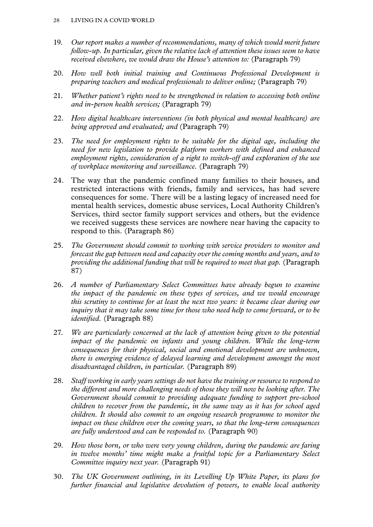- 19. *Our report makes a number of recommendations, many of which would merit future follow-up. In particular, given the relative lack of attention these issues seem to have received elsewhere, we would draw the House's attention to:* (Paragraph 79)
- 20. *How well both initial training and Continuous Professional Development is preparing teachers and medical professionals to deliver online;* (Paragraph 79)
- 21. *Whether patient's rights need to be strengthened in relation to accessing both online and in-person health services;* (Paragraph 79)
- 22. *How digital healthcare interventions (in both physical and mental healthcare) are being approved and evaluated; and* (Paragraph 79)
- 23. *The need for employment rights to be suitable for the digital age, including the need for new legislation to provide platform workers with defined and enhanced employment rights, consideration of a right to switch-off and exploration of the use of workplace monitoring and surveillance.* (Paragraph 79)
- 24. The way that the pandemic confined many families to their houses, and restricted interactions with friends, family and services, has had severe consequences for some. There will be a lasting legacy of increased need for mental health services, domestic abuse services, Local Authority Children's Services, third sector family support services and others, but the evidence we received suggests these services are nowhere near having the capacity to respond to this. (Paragraph 86)
- 25. *The Government should commit to working with service providers to monitor and forecast the gap between need and capacity over the coming months and years, and to providing the additional funding that will be required to meet that gap.* (Paragraph 87)
- 26. *A number of Parliamentary Select Committees have already begun to examine the impact of the pandemic on these types of services, and we would encourage this scrutiny to continue for at least the next two years: it became clear during our inquiry that it may take some time for those who need help to come forward, or to be identified.* (Paragraph 88)
- 27. *We are particularly concerned at the lack of attention being given to the potential impact of the pandemic on infants and young children. While the long-term consequences for their physical, social and emotional development are unknown, there is emerging evidence of delayed learning and development amongst the most disadvantaged children, in particular.* (Paragraph 89)
- 28. *Staff working in early years settings do not have the training or resource to respond to the different and more challenging needs of those they will now be looking after. The Government should commit to providing adequate funding to support pre-school children to recover from the pandemic, in the same way as it has for school aged children. It should also commit to an ongoing research programme to monitor the impact on these children over the coming years, so that the long-term consequences are fully understood and can be responded to.* (Paragraph 90)
- 29. *How those born, or who were very young children, during the pandemic are faring in twelve months' time might make a fruitful topic for a Parliamentary Select Committee inquiry next year.* (Paragraph 91)
- 30. *The UK Government outlining, in its Levelling Up White Paper, its plans for further financial and legislative devolution of powers, to enable local authority*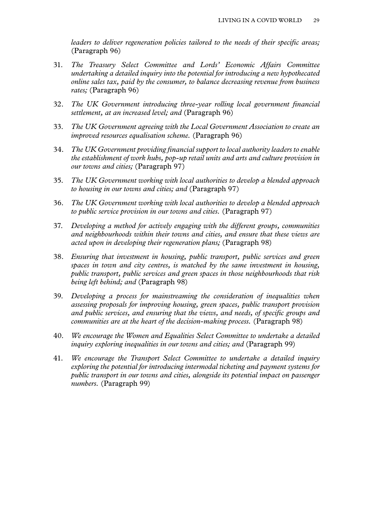*leaders to deliver regeneration policies tailored to the needs of their specific areas;*  (Paragraph 96)

- 31. *The Treasury Select Committee and Lords' Economic Affairs Committee undertaking a detailed inquiry into the potential for introducing a new hypothecated online sales tax, paid by the consumer, to balance decreasing revenue from business rates;* (Paragraph 96)
- 32. *The UK Government introducing three-year rolling local government financial settlement, at an increased level; and* (Paragraph 96)
- 33. *The UK Government agreeing with the Local Government Association to create an improved resources equalisation scheme.* (Paragraph 96)
- 34. *The UK Government providing financial support to local authority leaders to enable the establishment of work hubs, pop-up retail units and arts and culture provision in our towns and cities;* (Paragraph 97)
- 35. *The UK Government working with local authorities to develop a blended approach to housing in our towns and cities; and* (Paragraph 97)
- 36. *The UK Government working with local authorities to develop a blended approach to public service provision in our towns and cities.* (Paragraph 97)
- 37. *Developing a method for actively engaging with the different groups, communities and neighbourhoods within their towns and cities, and ensure that these views are acted upon in developing their regeneration plans;* (Paragraph 98)
- 38. *Ensuring that investment in housing, public transport, public services and green spaces in town and city centres, is matched by the same investment in housing, public transport, public services and green spaces in those neighbourhoods that risk being left behind; and* (Paragraph 98)
- 39. *Developing a process for mainstreaming the consideration of inequalities when assessing proposals for improving housing, green spaces, public transport provision and public services, and ensuring that the views, and needs, of specific groups and communities are at the heart of the decision-making process.* (Paragraph 98)
- 40. *We encourage the Women and Equalities Select Committee to undertake a detailed inquiry exploring inequalities in our towns and cities; and* (Paragraph 99)
- 41. *We encourage the Transport Select Committee to undertake a detailed inquiry exploring the potential for introducing intermodal ticketing and payment systems for public transport in our towns and cities, alongside its potential impact on passenger numbers.* (Paragraph 99)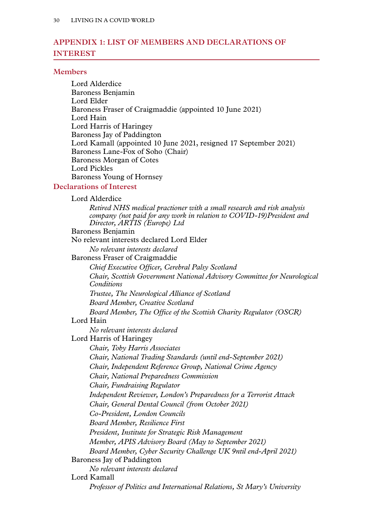# <span id="page-31-0"></span>**Appendix 1: LIST OF MEMBERS AND DECLARATIONS OF INTEREST**

#### **Members**

Lord Alderdice Baroness Benjamin Lord Elder Baroness Fraser of Craigmaddie (appointed 10 June 2021) Lord Hain Lord Harris of Haringey Baroness Jay of Paddington Lord Kamall (appointed 10 June 2021, resigned 17 September 2021) Baroness Lane-Fox of Soho (Chair) Baroness Morgan of Cotes Lord Pickles Baroness Young of Hornsey

#### **Declarations of Interest**

| Lord Alderdice |
|----------------|
|----------------|

*Retired NHS medical practioner with a small research and risk analysis company (not paid for any work in relation to COVID-19)President and Director, ARTIS (Europe) Ltd*

Baroness Benjamin

No relevant interests declared Lord Elder

*No relevant interests declared*

Baroness Fraser of Craigmaddie

*Chief Executive Officer, Cerebral Palsy Scotland Chair, Scottish Government National Advisory Committee for Neurological Conditions*

*Trustee, The Neurological Alliance of Scotland*

*Board Member, Creative Scotland*

*Board Member, The Office of the Scottish Charity Regulator (OSCR)*

#### Lord Hain

*No relevant interests declared*

Lord Harris of Haringey

*Chair, Toby Harris Associates*

*Chair, National Trading Standards (until end-September 2021)*

*Chair, Independent Reference Group, National Crime Agency*

*Chair, National Preparedness Commission*

*Chair, Fundraising Regulator*

*Independent Reviewer, London's Preparedness for a Terrorist Attack*

*Chair, General Dental Council (from October 2021)*

- *Co-President, London Councils*
- *Board Member, Resilience First*

*President, Institute for Strategic Risk Management*

*Member, APIS Advisory Board (May to September 2021)*

*Board Member, Cyber Security Challenge UK 9ntil end-April 2021)*

Baroness Jay of Paddington

*No relevant interests declared*

Lord Kamall

*Professor of Politics and International Relations, St Mary's University*